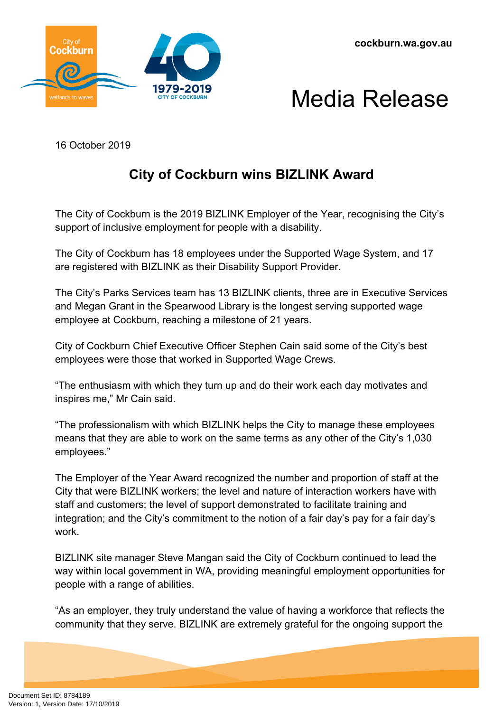



16 October 2019

## **City of Cockburn wins BIZLINK Award**

The City of Cockburn is the 2019 BIZLINK Employer of the Year, recognising the City's support of inclusive employment for people with a disability.

The City of Cockburn has 18 employees under the Supported Wage System, and 17 are registered with BIZLINK as their Disability Support Provider.

The City's Parks Services team has 13 BIZLINK clients, three are in Executive Services and Megan Grant in the Spearwood Library is the longest serving supported wage employee at Cockburn, reaching a milestone of 21 years.

City of Cockburn Chief Executive Officer Stephen Cain said some of the City's best employees were those that worked in Supported Wage Crews.

"The enthusiasm with which they turn up and do their work each day motivates and inspires me," Mr Cain said.

"The professionalism with which BIZLINK helps the City to manage these employees means that they are able to work on the same terms as any other of the City's 1,030 employees."

The Employer of the Year Award recognized the number and proportion of staff at the City that were BIZLINK workers; the level and nature of interaction workers have with staff and customers; the level of support demonstrated to facilitate training and integration; and the City's commitment to the notion of a fair day's pay for a fair day's work.

BIZLINK site manager Steve Mangan said the City of Cockburn continued to lead the way within local government in WA, providing meaningful employment opportunities for people with a range of abilities.

"As an employer, they truly understand the value of having a workforce that reflects the community that they serve. BIZLINK are extremely grateful for the ongoing support the